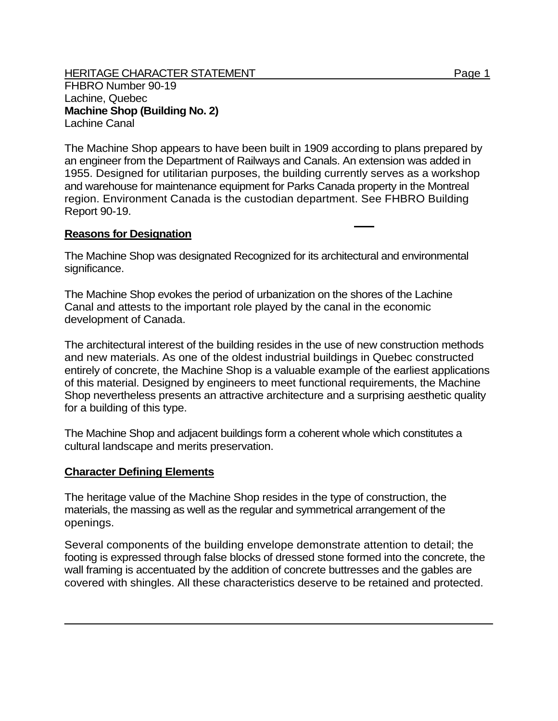## HERITAGE CHARACTER STATEMENT FRIELD FOR A STATEMENT AND RAGE 1

FHBRO Number 90-19 Lachine, Quebec **Machine Shop (Building No. 2)**  Lachine Canal

The Machine Shop appears to have been built in 1909 according to plans prepared by an engineer from the Department of Railways and Canals. An extension was added in 1955. Designed for utilitarian purposes, the building currently serves as a workshop and warehouse for maintenance equipment for Parks Canada property in the Montreal region. Environment Canada is the custodian department. See FHBRO Building Report 90-19.

## **Reasons for Designation**

The Machine Shop was designated Recognized for its architectural and environmental significance.

The Machine Shop evokes the period of urbanization on the shores of the Lachine Canal and attests to the important role played by the canal in the economic development of Canada.

The architectural interest of the building resides in the use of new construction methods and new materials. As one of the oldest industrial buildings in Quebec constructed entirely of concrete, the Machine Shop is a valuable example of the earliest applications of this material. Designed by engineers to meet functional requirements, the Machine Shop nevertheless presents an attractive architecture and a surprising aesthetic quality for a building of this type.

The Machine Shop and adjacent buildings form a coherent whole which constitutes a cultural landscape and merits preservation.

## **Character Defining Elements**

The heritage value of the Machine Shop resides in the type of construction, the materials, the massing as well as the regular and symmetrical arrangement of the openings.

Several components of the building envelope demonstrate attention to detail; the footing is expressed through false blocks of dressed stone formed into the concrete, the wall framing is accentuated by the addition of concrete buttresses and the gables are covered with shingles. All these characteristics deserve to be retained and protected.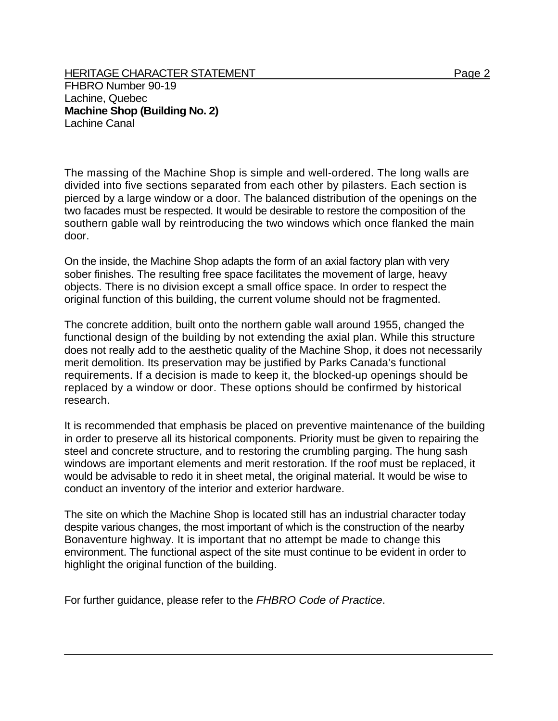HERITAGE CHARACTER STATEMENT FRIELD FOR A STATEMENT AND RAGE 2 FHBRO Number 90-19 Lachine, Quebec **Machine Shop (Building No. 2)**  Lachine Canal

The massing of the Machine Shop is simple and well-ordered. The long walls are divided into five sections separated from each other by pilasters. Each section is pierced by a large window or a door. The balanced distribution of the openings on the two facades must be respected. It would be desirable to restore the composition of the southern gable wall by reintroducing the two windows which once flanked the main door.

On the inside, the Machine Shop adapts the form of an axial factory plan with very sober finishes. The resulting free space facilitates the movement of large, heavy objects. There is no division except a small office space. In order to respect the original function of this building, the current volume should not be fragmented.

The concrete addition, built onto the northern gable wall around 1955, changed the functional design of the building by not extending the axial plan. While this structure does not really add to the aesthetic quality of the Machine Shop, it does not necessarily merit demolition. Its preservation may be justified by Parks Canada's functional requirements. If a decision is made to keep it, the blocked-up openings should be replaced by a window or door. These options should be confirmed by historical research.

It is recommended that emphasis be placed on preventive maintenance of the building in order to preserve all its historical components. Priority must be given to repairing the steel and concrete structure, and to restoring the crumbling parging. The hung sash windows are important elements and merit restoration. If the roof must be replaced, it would be advisable to redo it in sheet metal, the original material. It would be wise to conduct an inventory of the interior and exterior hardware.

The site on which the Machine Shop is located still has an industrial character today despite various changes, the most important of which is the construction of the nearby Bonaventure highway. It is important that no attempt be made to change this environment. The functional aspect of the site must continue to be evident in order to highlight the original function of the building.

For further guidance, please refer to the *FHBRO Code of Practice*.